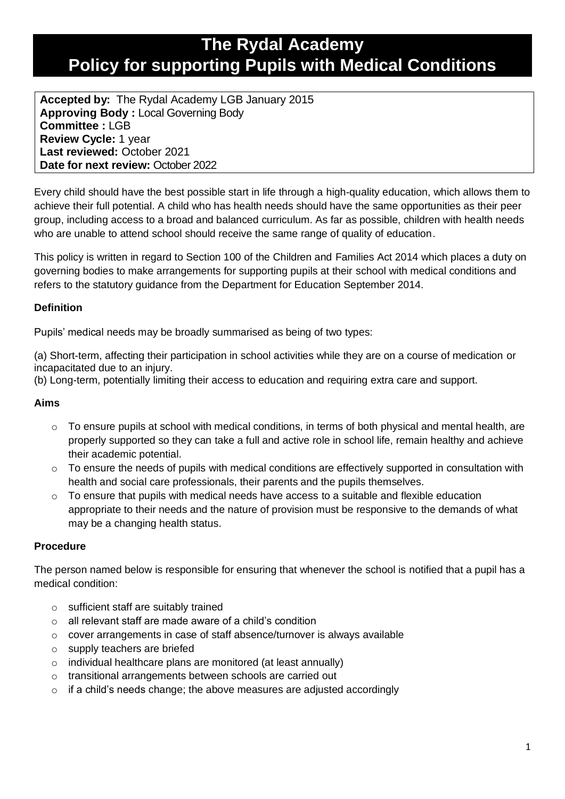# **The Rydal Academy Policy for supporting Pupils with Medical Conditions**

**Accepted by:** The Rydal Academy LGB January 2015 **Approving Body :** Local Governing Body **Committee :** LGB **Review Cycle:** 1 year **Last reviewed:** October 2021 **Date for next review:** October 2022

Every child should have the best possible start in life through a high-quality education, which allows them to achieve their full potential. A child who has health needs should have the same opportunities as their peer group, including access to a broad and balanced curriculum. As far as possible, children with health needs who are unable to attend school should receive the same range of quality of education.

This policy is written in regard to Section 100 of the Children and Families Act 2014 which places a duty on governing bodies to make arrangements for supporting pupils at their school with medical conditions and refers to the statutory guidance from the Department for Education September 2014.

### **Definition**

Pupils' medical needs may be broadly summarised as being of two types:

(a) Short-term, affecting their participation in school activities while they are on a course of medication or incapacitated due to an injury.

(b) Long-term, potentially limiting their access to education and requiring extra care and support.

#### **Aims**

- $\circ$  To ensure pupils at school with medical conditions, in terms of both physical and mental health, are properly supported so they can take a full and active role in school life, remain healthy and achieve their academic potential.
- $\circ$  To ensure the needs of pupils with medical conditions are effectively supported in consultation with health and social care professionals, their parents and the pupils themselves.
- $\circ$  To ensure that pupils with medical needs have access to a suitable and flexible education appropriate to their needs and the nature of provision must be responsive to the demands of what may be a changing health status.

# **Procedure**

The person named below is responsible for ensuring that whenever the school is notified that a pupil has a medical condition:

- o sufficient staff are suitably trained
- o all relevant staff are made aware of a child's condition
- o cover arrangements in case of staff absence/turnover is always available
- o supply teachers are briefed
- o individual healthcare plans are monitored (at least annually)
- o transitional arrangements between schools are carried out
- o if a child's needs change; the above measures are adjusted accordingly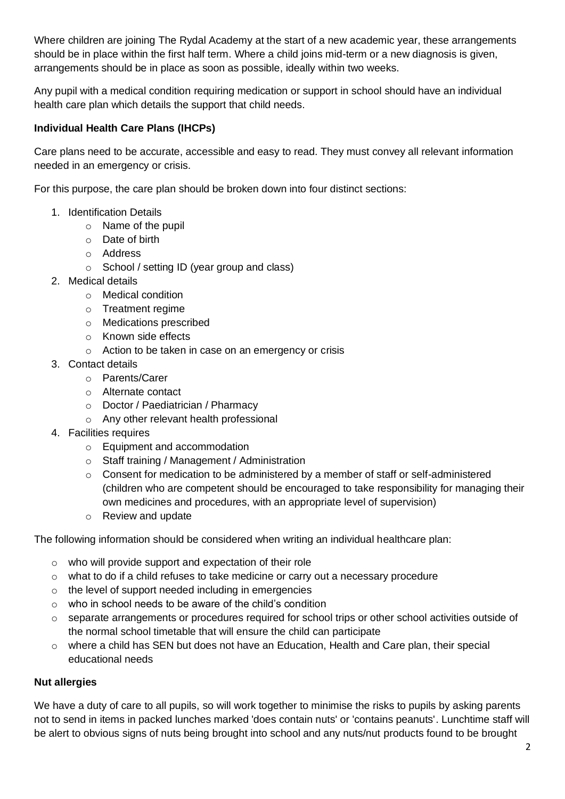Where children are joining The Rydal Academy at the start of a new academic year, these arrangements should be in place within the first half term. Where a child joins mid-term or a new diagnosis is given, arrangements should be in place as soon as possible, ideally within two weeks.

Any pupil with a medical condition requiring medication or support in school should have an individual health care plan which details the support that child needs.

## **Individual Health Care Plans (IHCPs)**

Care plans need to be accurate, accessible and easy to read. They must convey all relevant information needed in an emergency or crisis.

For this purpose, the care plan should be broken down into four distinct sections:

- 1. Identification Details
	- o Name of the pupil
	- o Date of birth
	- o Address
	- o School / setting ID (year group and class)
- 2. Medical details
	- o Medical condition
	- o Treatment regime
	- o Medications prescribed
	- o Known side effects
	- o Action to be taken in case on an emergency or crisis
- 3. Contact details
	- o Parents/Carer
	- o Alternate contact
	- o Doctor / Paediatrician / Pharmacy
	- o Any other relevant health professional
- 4. Facilities requires
	- o Equipment and accommodation
	- o Staff training / Management / Administration
	- $\circ$  Consent for medication to be administered by a member of staff or self-administered (children who are competent should be encouraged to take responsibility for managing their own medicines and procedures, with an appropriate level of supervision)
	- o Review and update

The following information should be considered when writing an individual healthcare plan:

- o who will provide support and expectation of their role
- o what to do if a child refuses to take medicine or carry out a necessary procedure
- o the level of support needed including in emergencies
- o who in school needs to be aware of the child's condition
- o separate arrangements or procedures required for school trips or other school activities outside of the normal school timetable that will ensure the child can participate
- o where a child has SEN but does not have an Education, Health and Care plan, their special educational needs

# **Nut allergies**

We have a duty of care to all pupils, so will work together to minimise the risks to pupils by asking parents not to send in items in packed lunches marked 'does contain nuts' or 'contains peanuts'. Lunchtime staff will be alert to obvious signs of nuts being brought into school and any nuts/nut products found to be brought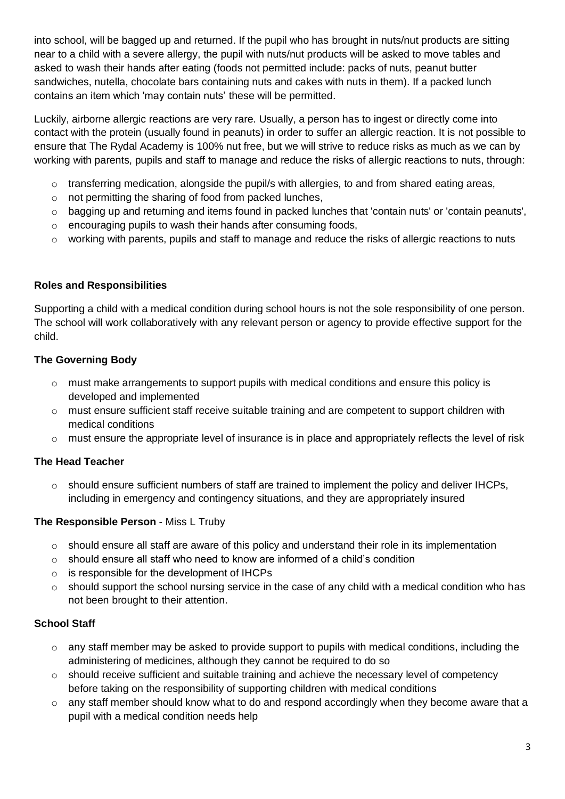into school, will be bagged up and returned. If the pupil who has brought in nuts/nut products are sitting near to a child with a severe allergy, the pupil with nuts/nut products will be asked to move tables and asked to wash their hands after eating (foods not permitted include: packs of nuts, peanut butter sandwiches, nutella, chocolate bars containing nuts and cakes with nuts in them). If a packed lunch contains an item which 'may contain nuts' these will be permitted.

Luckily, airborne allergic reactions are very rare. Usually, a person has to ingest or directly come into contact with the protein (usually found in peanuts) in order to suffer an allergic reaction. It is not possible to ensure that The Rydal Academy is 100% nut free, but we will strive to reduce risks as much as we can by working with parents, pupils and staff to manage and reduce the risks of allergic reactions to nuts, through:

- o transferring medication, alongside the pupil/s with allergies, to and from shared eating areas,
- o not permitting the sharing of food from packed lunches,
- o bagging up and returning and items found in packed lunches that 'contain nuts' or 'contain peanuts',
- o encouraging pupils to wash their hands after consuming foods,
- o working with parents, pupils and staff to manage and reduce the risks of allergic reactions to nuts

#### **Roles and Responsibilities**

Supporting a child with a medical condition during school hours is not the sole responsibility of one person. The school will work collaboratively with any relevant person or agency to provide effective support for the child.

#### **The Governing Body**

- $\circ$  must make arrangements to support pupils with medical conditions and ensure this policy is developed and implemented
- $\circ$  must ensure sufficient staff receive suitable training and are competent to support children with medical conditions
- o must ensure the appropriate level of insurance is in place and appropriately reflects the level of risk

#### **The Head Teacher**

 $\circ$  should ensure sufficient numbers of staff are trained to implement the policy and deliver IHCPs, including in emergency and contingency situations, and they are appropriately insured

#### **The Responsible Person** - Miss L Truby

- o should ensure all staff are aware of this policy and understand their role in its implementation
- $\circ$  should ensure all staff who need to know are informed of a child's condition
- o is responsible for the development of IHCPs
- o should support the school nursing service in the case of any child with a medical condition who has not been brought to their attention.

#### **School Staff**

- o any staff member may be asked to provide support to pupils with medical conditions, including the administering of medicines, although they cannot be required to do so
- o should receive sufficient and suitable training and achieve the necessary level of competency before taking on the responsibility of supporting children with medical conditions
- $\circ$  any staff member should know what to do and respond accordingly when they become aware that a pupil with a medical condition needs help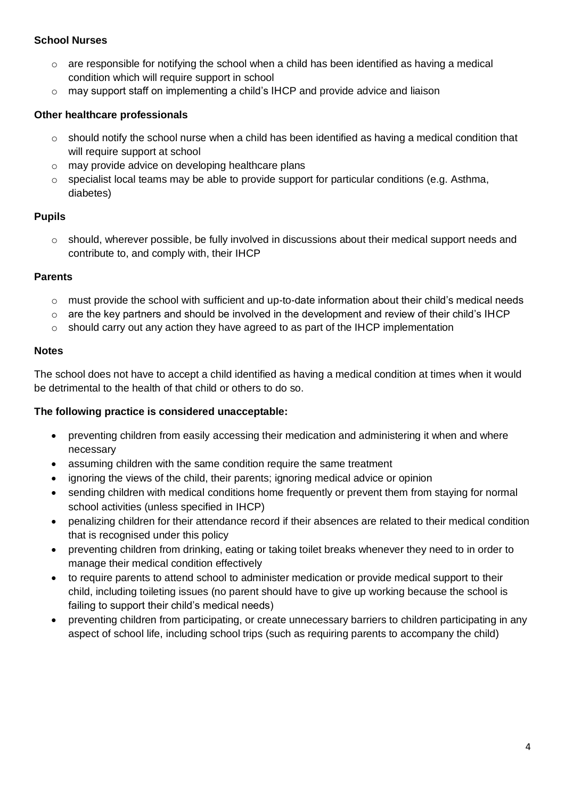#### **School Nurses**

- $\circ$  are responsible for notifying the school when a child has been identified as having a medical condition which will require support in school
- $\circ$  may support staff on implementing a child's IHCP and provide advice and liaison

#### **Other healthcare professionals**

- $\circ$  should notify the school nurse when a child has been identified as having a medical condition that will require support at school
- o may provide advice on developing healthcare plans
- o specialist local teams may be able to provide support for particular conditions (e.g. Asthma, diabetes)

#### **Pupils**

 $\circ$  should, wherever possible, be fully involved in discussions about their medical support needs and contribute to, and comply with, their IHCP

#### **Parents**

- $\circ$  must provide the school with sufficient and up-to-date information about their child's medical needs
- $\circ$  are the key partners and should be involved in the development and review of their child's IHCP
- $\circ$  should carry out any action they have agreed to as part of the IHCP implementation

#### **Notes**

The school does not have to accept a child identified as having a medical condition at times when it would be detrimental to the health of that child or others to do so.

#### **The following practice is considered unacceptable:**

- preventing children from easily accessing their medication and administering it when and where necessary
- assuming children with the same condition require the same treatment
- ignoring the views of the child, their parents; ignoring medical advice or opinion
- sending children with medical conditions home frequently or prevent them from staying for normal school activities (unless specified in IHCP)
- penalizing children for their attendance record if their absences are related to their medical condition that is recognised under this policy
- preventing children from drinking, eating or taking toilet breaks whenever they need to in order to manage their medical condition effectively
- to require parents to attend school to administer medication or provide medical support to their child, including toileting issues (no parent should have to give up working because the school is failing to support their child's medical needs)
- preventing children from participating, or create unnecessary barriers to children participating in any aspect of school life, including school trips (such as requiring parents to accompany the child)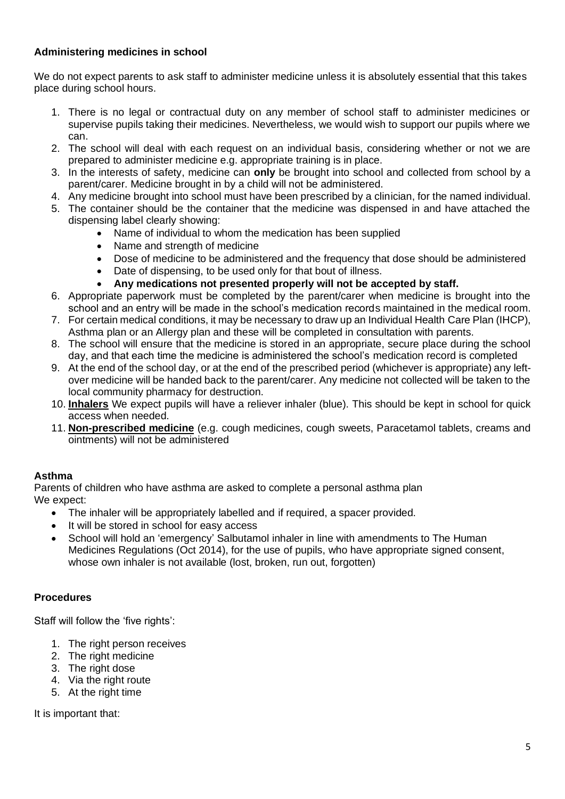#### **Administering medicines in school**

We do not expect parents to ask staff to administer medicine unless it is absolutely essential that this takes place during school hours.

- 1. There is no legal or contractual duty on any member of school staff to administer medicines or supervise pupils taking their medicines. Nevertheless, we would wish to support our pupils where we can.
- 2. The school will deal with each request on an individual basis, considering whether or not we are prepared to administer medicine e.g. appropriate training is in place.
- 3. In the interests of safety, medicine can **only** be brought into school and collected from school by a parent/carer. Medicine brought in by a child will not be administered.
- 4. Any medicine brought into school must have been prescribed by a clinician, for the named individual.
- 5. The container should be the container that the medicine was dispensed in and have attached the dispensing label clearly showing:
	- Name of individual to whom the medication has been supplied
	- Name and strength of medicine
	- Dose of medicine to be administered and the frequency that dose should be administered
	- Date of dispensing, to be used only for that bout of illness.
	- **Any medications not presented properly will not be accepted by staff.**
- 6. Appropriate paperwork must be completed by the parent/carer when medicine is brought into the school and an entry will be made in the school's medication records maintained in the medical room.
- 7. For certain medical conditions, it may be necessary to draw up an Individual Health Care Plan (IHCP), Asthma plan or an Allergy plan and these will be completed in consultation with parents.
- 8. The school will ensure that the medicine is stored in an appropriate, secure place during the school day, and that each time the medicine is administered the school's medication record is completed
- 9. At the end of the school day, or at the end of the prescribed period (whichever is appropriate) any leftover medicine will be handed back to the parent/carer. Any medicine not collected will be taken to the local community pharmacy for destruction.
- 10. **Inhalers** We expect pupils will have a reliever inhaler (blue). This should be kept in school for quick access when needed.
- 11. **Non-prescribed medicine** (e.g. cough medicines, cough sweets, Paracetamol tablets, creams and ointments) will not be administered

#### **Asthma**

Parents of children who have asthma are asked to complete a personal asthma plan We expect:

- The inhaler will be appropriately labelled and if required, a spacer provided.
- It will be stored in school for easy access
- School will hold an 'emergency' Salbutamol inhaler in line with amendments to The Human Medicines Regulations (Oct 2014), for the use of pupils, who have appropriate signed consent, whose own inhaler is not available (lost, broken, run out, forgotten)

#### **Procedures**

Staff will follow the 'five rights':

- 1. The right person receives
- 2. The right medicine
- 3. The right dose
- 4. Via the right route
- 5. At the right time

It is important that: